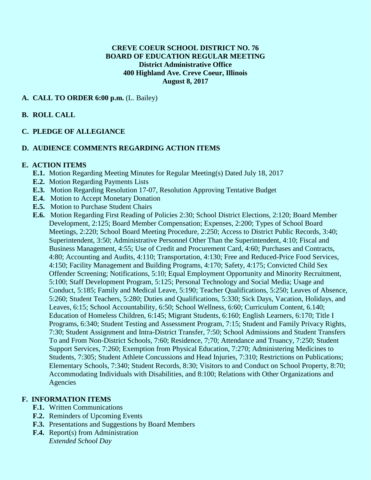## **CREVE COEUR SCHOOL DISTRICT NO. 76 BOARD OF EDUCATION REGULAR MEETING District Administrative Office 400 Highland Ave. Creve Coeur, Illinois August 8, 2017**

## **A. CALL TO ORDER 6:00 p.m.** (L. Bailey)

#### **B. ROLL CALL**

## **C. PLEDGE OF ALLEGIANCE**

## **D. AUDIENCE COMMENTS REGARDING ACTION ITEMS**

#### **E. ACTION ITEMS**

- **E.1.** Motion Regarding Meeting Minutes for Regular Meeting(s) Dated July 18, 2017
- **E.2.** Motion Regarding Payments Lists
- **E.3.** Motion Regarding Resolution 17-07, Resolution Approving Tentative Budget
- **E.4.** Motion to Accept Monetary Donation
- **E.5.** Motion to Purchase Student Chairs
- **E.6.** Motion Regarding First Reading of Policies 2:30; School District Elections, 2:120; Board Member Development, 2:125; Board Member Compensation; Expenses, 2:200; Types of School Board Meetings, 2:220; School Board Meeting Procedure, 2:250; Access to District Public Records, 3:40; Superintendent, 3:50; Administrative Personnel Other Than the Superintendent, 4:10; Fiscal and Business Management, 4:55; Use of Credit and Procurement Card, 4:60; Purchases and Contracts, 4:80; Accounting and Audits, 4:110; Transportation, 4:130; Free and Reduced-Price Food Services, 4:150; Facility Management and Building Programs, 4:170; Safety, 4:175; Convicted Child Sex Offender Screening; Notifications, 5:10; Equal Employment Opportunity and Minority Recruitment, 5:100; Staff Development Program, 5:125; Personal Technology and Social Media; Usage and Conduct, 5:185; Family and Medical Leave, 5:190; Teacher Qualifications, 5:250; Leaves of Absence, 5:260; Student Teachers, 5:280; Duties and Qualifications, 5:330; Sick Days, Vacation, Holidays, and Leaves, 6:15; School Accountability, 6:50; School Wellness, 6:60; Curriculum Content, 6.140; Education of Homeless Children, 6:145; Migrant Students, 6:160; English Learners, 6:170; Title I Programs, 6:340; Student Testing and Assessment Program, 7:15; Student and Family Privacy Rights, 7:30; Student Assignment and Intra-District Transfer, 7:50; School Admissions and Student Transfers To and From Non-District Schools, 7:60; Residence, 7;70; Attendance and Truancy, 7:250; Student Support Services, 7:260; Exemption from Physical Education, 7:270; Administering Medicines to Students, 7:305; Student Athlete Concussions and Head Injuries, 7:310; Restrictions on Publications; Elementary Schools, 7:340; Student Records, 8:30; Visitors to and Conduct on School Property, 8:70; Accommodating Individuals with Disabilities, and 8:100; Relations with Other Organizations and Agencies

#### **F. INFORMATION ITEMS**

- **F.1.** Written Communications
- **F.2.** Reminders of Upcoming Events
- **F.3.** Presentations and Suggestions by Board Members
- **F.4.** Report(s) from Administration *Extended School Day*